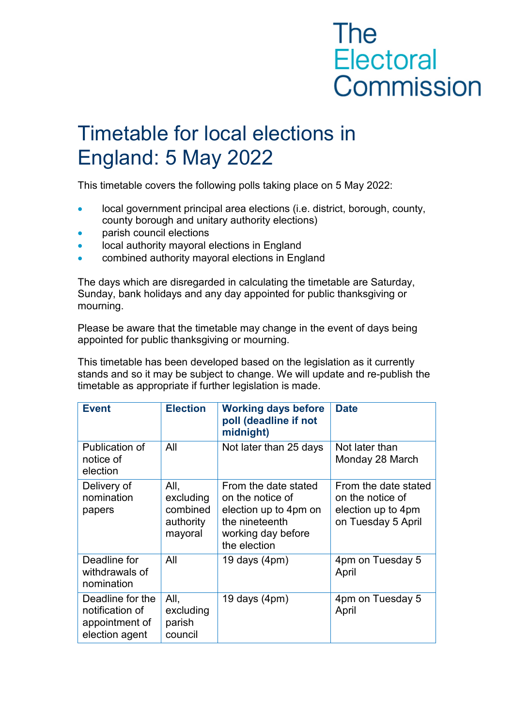## **The** Electoral Commission

## Timetable for local elections in England: 5 May 2022

This timetable covers the following polls taking place on 5 May 2022:

- local government principal area elections (i.e. district, borough, county, county borough and unitary authority elections)
- parish council elections
- local authority mayoral elections in England
- combined authority mayoral elections in England

The days which are disregarded in calculating the timetable are Saturday, Sunday, bank holidays and any day appointed for public thanksgiving or mourning.

Please be aware that the timetable may change in the event of days being appointed for public thanksgiving or mourning.

This timetable has been developed based on the legislation as it currently stands and so it may be subject to change. We will update and re-publish the timetable as appropriate if further legislation is made.

| <b>Event</b>                                                            | <b>Election</b>                                       | <b>Working days before</b><br>poll (deadline if not<br>midnight)                                                          | <b>Date</b>                                                                          |  |
|-------------------------------------------------------------------------|-------------------------------------------------------|---------------------------------------------------------------------------------------------------------------------------|--------------------------------------------------------------------------------------|--|
| Publication of<br>notice of<br>election                                 | All                                                   | Not later than 25 days                                                                                                    | Not later than<br>Monday 28 March                                                    |  |
| Delivery of<br>nomination<br>papers                                     | All,<br>excluding<br>combined<br>authority<br>mayoral | From the date stated<br>on the notice of<br>election up to 4pm on<br>the nineteenth<br>working day before<br>the election | From the date stated<br>on the notice of<br>election up to 4pm<br>on Tuesday 5 April |  |
| Deadline for<br>withdrawals of<br>nomination                            | All                                                   | 19 days $(4pm)$                                                                                                           | 4pm on Tuesday 5<br>April                                                            |  |
| Deadline for the<br>notification of<br>appointment of<br>election agent | All,<br>excluding<br>parish<br>council                | 19 days $(4pm)$                                                                                                           | 4pm on Tuesday 5<br>April                                                            |  |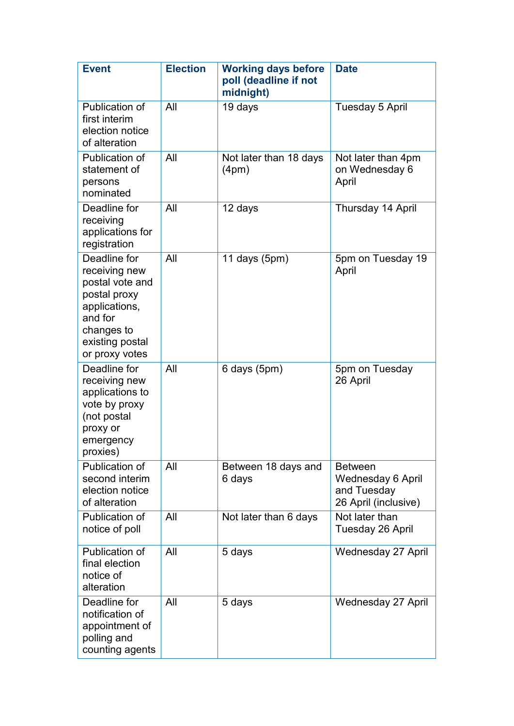| <b>Event</b>                                                                                                                                    | <b>Election</b> | <b>Working days before</b><br>poll (deadline if not<br>midnight) | <b>Date</b>                                                                       |  |
|-------------------------------------------------------------------------------------------------------------------------------------------------|-----------------|------------------------------------------------------------------|-----------------------------------------------------------------------------------|--|
| Publication of<br>first interim<br>election notice<br>of alteration                                                                             | All             | 19 days                                                          | Tuesday 5 April                                                                   |  |
| Publication of<br>statement of<br>persons<br>nominated                                                                                          | All             | Not later than 18 days<br>(4pm)                                  | Not later than 4pm<br>on Wednesday 6<br>April                                     |  |
| Deadline for<br>receiving<br>applications for<br>registration                                                                                   | All             | 12 days                                                          | Thursday 14 April                                                                 |  |
| Deadline for<br>receiving new<br>postal vote and<br>postal proxy<br>applications,<br>and for<br>changes to<br>existing postal<br>or proxy votes | All             | 11 days $(5pm)$                                                  | 5pm on Tuesday 19<br>April                                                        |  |
| Deadline for<br>receiving new<br>applications to<br>vote by proxy<br>(not postal<br>proxy or<br>emergency<br>proxies)                           | All             | 6 days (5pm)                                                     | 5pm on Tuesday<br>26 April                                                        |  |
| Publication of<br>second interim<br>election notice<br>of alteration                                                                            | All             | Between 18 days and<br>6 days                                    | <b>Between</b><br><b>Wednesday 6 April</b><br>and Tuesday<br>26 April (inclusive) |  |
| Publication of<br>notice of poll                                                                                                                | All             | Not later than 6 days                                            | Not later than<br>Tuesday 26 April                                                |  |
| Publication of<br>final election<br>notice of<br>alteration                                                                                     | All             | 5 days                                                           | <b>Wednesday 27 April</b>                                                         |  |
| Deadline for<br>notification of<br>appointment of<br>polling and<br>counting agents                                                             | All             | 5 days                                                           | <b>Wednesday 27 April</b>                                                         |  |